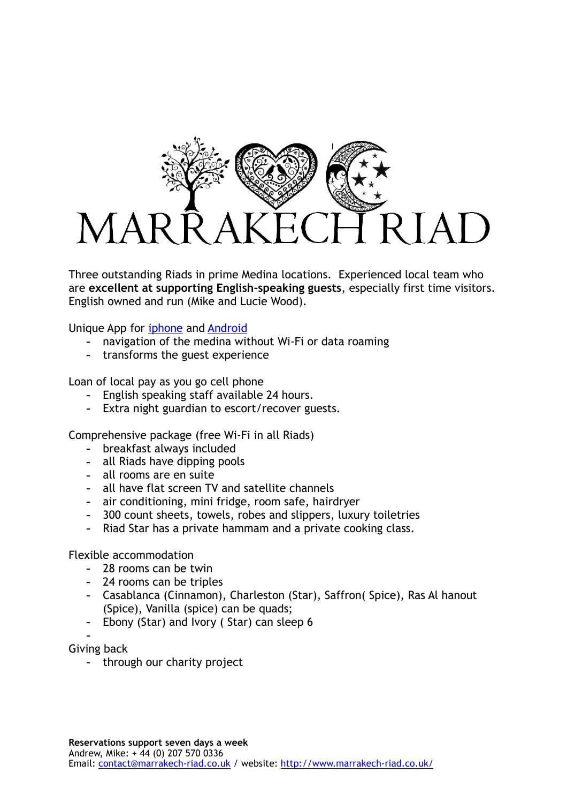

Three outstanding Riads in prime Medina locations. Experienced local team who are **excellent at supporting English-speaking guests**, especially first time visitors. English owned and run (Mike and Lucie Wood).

Unique App for [iphone](https://itunes.apple.com/gb/app/marrakech-riad-travel-guide/id489129273?mt=8) and [Android](https://play.google.com/store/apps/details?id=com.woodpropertypartners.marrakechriadtravelguide&hl=en)

- navigation of the medina without Wi-Fi or data roaming
- transforms the guest experience

Loan of local pay as you go cell phone

- English speaking staff available 24 hours.
- Extra night guardian to escort/recover guests.

Comprehensive package (free Wi-Fi in all Riads)

- breakfast always included
- all Riads have dipping pools
- all rooms are en suite
- all have flat screen TV and satellite channels
- air conditioning, mini fridge, room safe, hairdryer
- 300 count sheets, towels, robes and slippers, luxury toiletries
- Riad Star has a private hammam and a private cooking class.

Flexible accommodation

- 28 rooms can be twin
- 24 rooms can be triples
- Casablanca (Cinnamon), Charleston (Star), Saffron( Spice), Ras Al hanout (Spice), Vanilla (spice) can be quads;
- Ebony (Star) and Ivory ( Star) can sleep 6

- Giving back

- through our charity project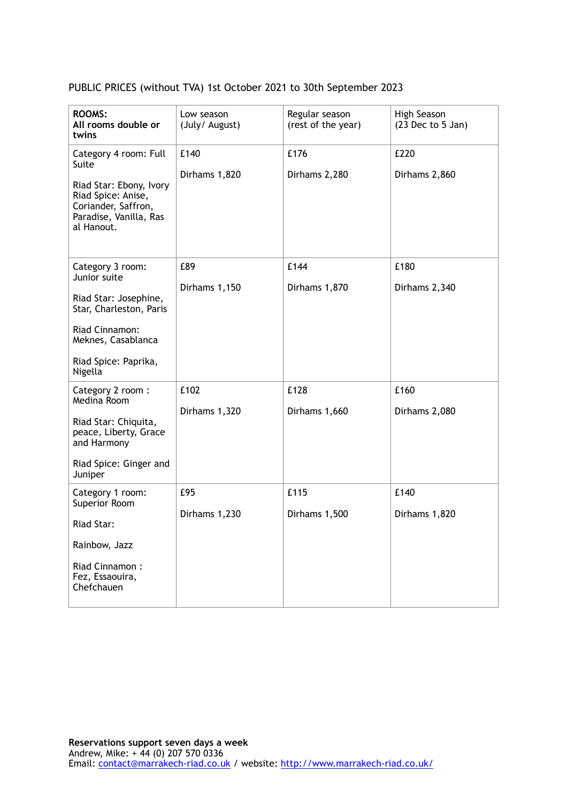## PUBLIC PRICES (without TVA) 1st October 2021 to 30th September 2023

| <b>ROOMS:</b><br>All rooms double or<br>twins                                                                | Low season<br>(July/ August) | Regular season<br>(rest of the year) | High Season<br>$(23$ Dec to 5 Jan) |
|--------------------------------------------------------------------------------------------------------------|------------------------------|--------------------------------------|------------------------------------|
| Category 4 room: Full<br>Suite                                                                               | £140                         | £176                                 | £220                               |
| Riad Star: Ebony, Ivory<br>Riad Spice: Anise,<br>Coriander, Saffron,<br>Paradise, Vanilla, Ras<br>al Hanout. | Dirhams 1,820                | Dirhams 2,280                        | Dirhams 2,860                      |
| Category 3 room:<br>Junior suite                                                                             | £89                          | £144                                 | £180                               |
| Riad Star: Josephine,                                                                                        | Dirhams 1,150                | Dirhams 1,870                        | Dirhams 2,340                      |
| Star, Charleston, Paris                                                                                      |                              |                                      |                                    |
| Riad Cinnamon:<br>Meknes, Casablanca                                                                         |                              |                                      |                                    |
| Riad Spice: Paprika,<br>Nigella                                                                              |                              |                                      |                                    |
| Category 2 room:<br>Medina Room                                                                              | £102                         | £128                                 | £160                               |
| Riad Star: Chiquita,                                                                                         | Dirhams 1,320                | Dirhams 1,660                        | Dirhams 2,080                      |
| peace, Liberty, Grace<br>and Harmony                                                                         |                              |                                      |                                    |
| Riad Spice: Ginger and<br>Juniper                                                                            |                              |                                      |                                    |
| Category 1 room:<br>Superior Room                                                                            | £95                          | £115                                 | £140                               |
| Riad Star:                                                                                                   | Dirhams 1,230                | Dirhams 1,500                        | Dirhams 1,820                      |
| Rainbow, Jazz                                                                                                |                              |                                      |                                    |
| Riad Cinnamon:<br>Fez, Essaouira,<br>Chefchauen                                                              |                              |                                      |                                    |
|                                                                                                              |                              |                                      |                                    |